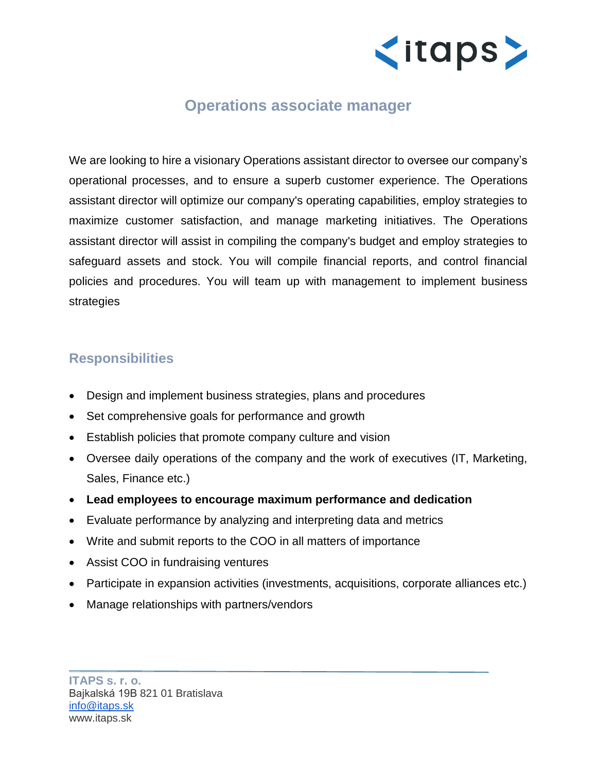

## **Operations associate manager**

We are looking to hire a visionary Operations assistant director to oversee our company's operational processes, and to ensure a superb customer experience. The Operations assistant director will optimize our company's operating capabilities, employ strategies to maximize customer satisfaction, and manage marketing initiatives. The Operations assistant director will assist in compiling the company's budget and employ strategies to safeguard assets and stock. You will compile financial reports, and control financial policies and procedures. You will team up with management to implement business strategies

## **Responsibilities**

- Design and implement business strategies, plans and procedures
- Set comprehensive goals for performance and growth
- Establish policies that promote company culture and vision
- Oversee daily operations of the company and the work of executives (IT, Marketing, Sales, Finance etc.)
- **Lead employees to encourage maximum performance and dedication**
- Evaluate performance by analyzing and interpreting data and metrics
- Write and submit reports to the COO in all matters of importance
- Assist COO in fundraising ventures
- Participate in expansion activities (investments, acquisitions, corporate alliances etc.)
- Manage relationships with partners/vendors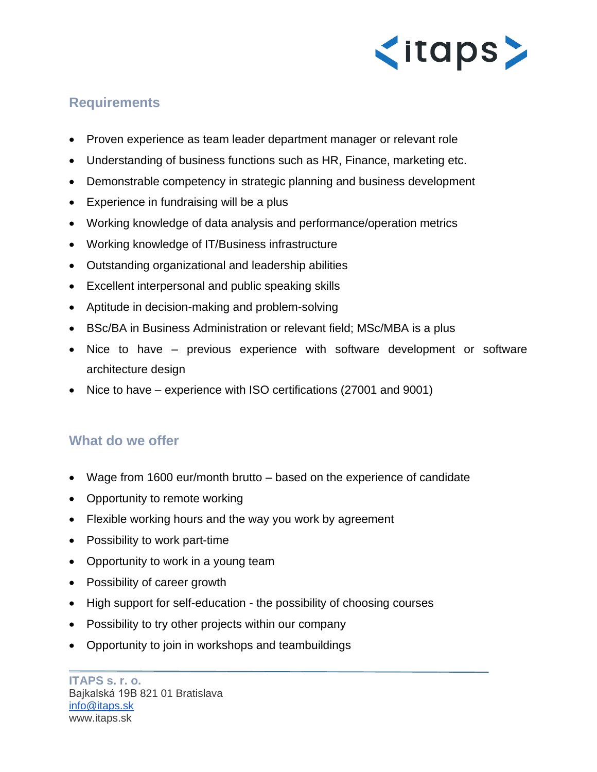

## **Requirements**

- Proven experience as team leader department manager or relevant role
- Understanding of business functions such as HR, Finance, marketing etc.
- Demonstrable competency in strategic planning and business development
- Experience in fundraising will be a plus
- Working knowledge of data analysis and performance/operation metrics
- Working knowledge of IT/Business infrastructure
- Outstanding organizational and leadership abilities
- Excellent interpersonal and public speaking skills
- Aptitude in decision-making and problem-solving
- BSc/BA in Business Administration or relevant field; MSc/MBA is a plus
- Nice to have previous experience with software development or software architecture design
- Nice to have experience with ISO certifications (27001 and 9001)

## **What do we offer**

- Wage from 1600 eur/month brutto based on the experience of candidate
- Opportunity to remote working
- Flexible working hours and the way you work by agreement
- Possibility to work part-time
- Opportunity to work in a young team
- Possibility of career growth
- High support for self-education the possibility of choosing courses
- Possibility to try other projects within our company
- Opportunity to join in workshops and teambuildings